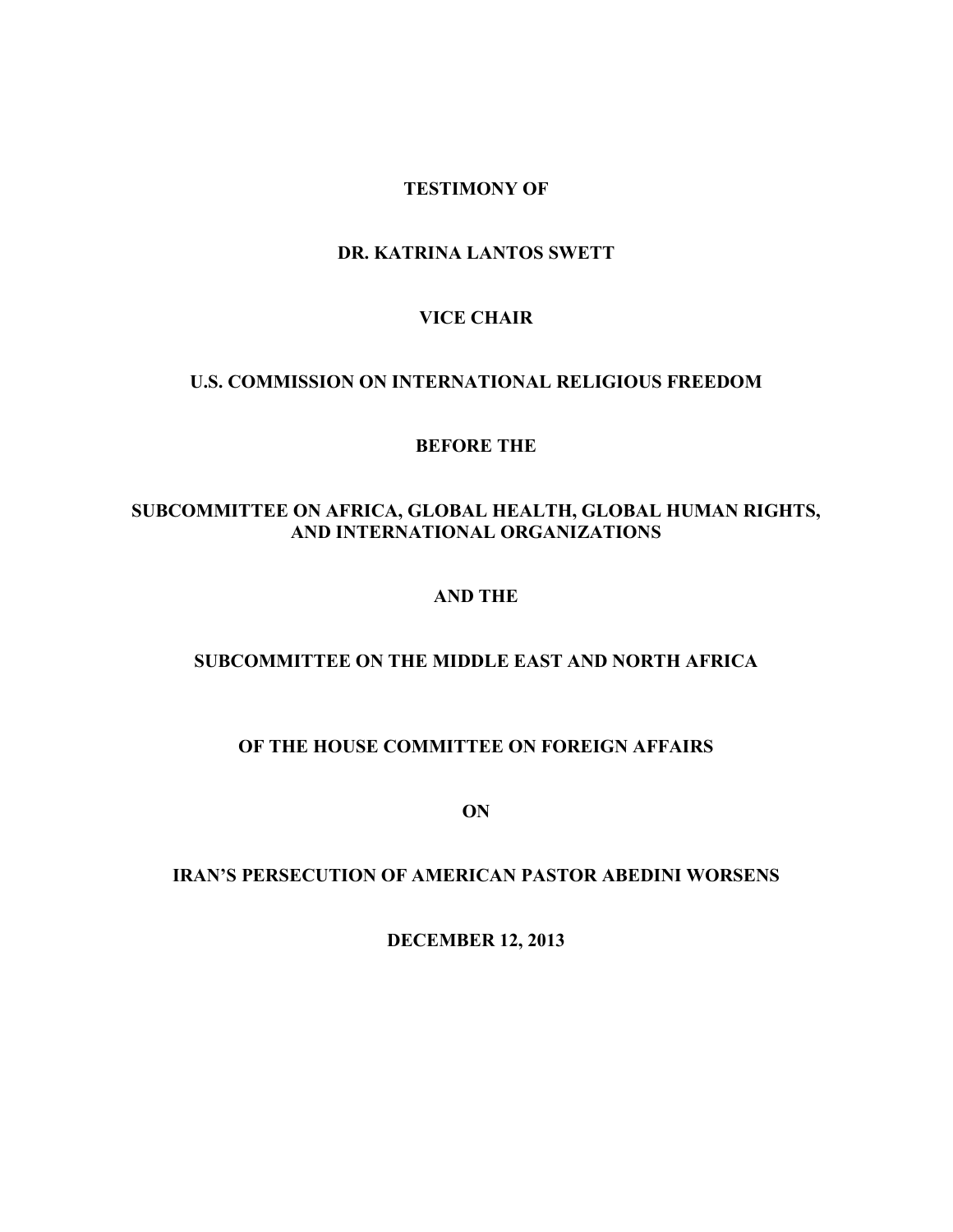# **TESTIMONY OF**

### **DR. KATRINA LANTOS SWETT**

### **VICE CHAIR**

### **U.S. COMMISSION ON INTERNATIONAL RELIGIOUS FREEDOM**

#### **BEFORE THE**

# **SUBCOMMITTEE ON AFRICA, GLOBAL HEALTH, GLOBAL HUMAN RIGHTS, AND INTERNATIONAL ORGANIZATIONS**

### **AND THE**

# **SUBCOMMITTEE ON THE MIDDLE EAST AND NORTH AFRICA**

# **OF THE HOUSE COMMITTEE ON FOREIGN AFFAIRS**

**ON**

# **IRAN'S PERSECUTION OF AMERICAN PASTOR ABEDINI WORSENS**

**DECEMBER 12, 2013**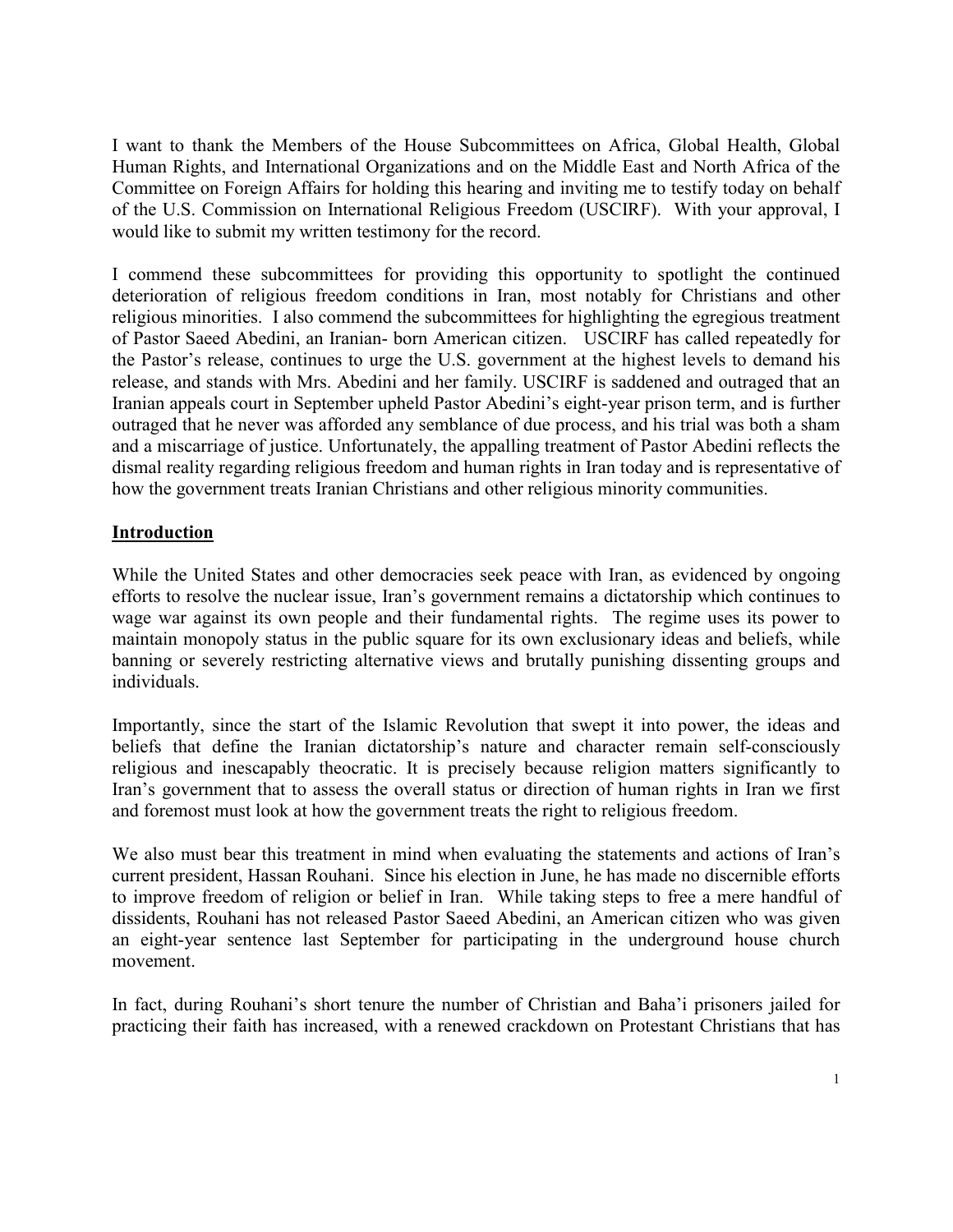I want to thank the Members of the House Subcommittees on Africa, Global Health, Global Human Rights, and International Organizations and on the Middle East and North Africa of the Committee on Foreign Affairs for holding this hearing and inviting me to testify today on behalf of the U.S. Commission on International Religious Freedom (USCIRF). With your approval, I would like to submit my written testimony for the record.

I commend these subcommittees for providing this opportunity to spotlight the continued deterioration of religious freedom conditions in Iran, most notably for Christians and other religious minorities. I also commend the subcommittees for highlighting the egregious treatment of Pastor Saeed Abedini, an Iranian- born American citizen. USCIRF has called repeatedly for the Pastor's release, continues to urge the U.S. government at the highest levels to demand his release, and stands with Mrs. Abedini and her family. USCIRF is saddened and outraged that an Iranian appeals court in September upheld Pastor Abedini's eight-year prison term, and is further outraged that he never was afforded any semblance of due process, and his trial was both a sham and a miscarriage of justice. Unfortunately, the appalling treatment of Pastor Abedini reflects the dismal reality regarding religious freedom and human rights in Iran today and is representative of how the government treats Iranian Christians and other religious minority communities.

# **Introduction**

While the United States and other democracies seek peace with Iran, as evidenced by ongoing efforts to resolve the nuclear issue, Iran's government remains a dictatorship which continues to wage war against its own people and their fundamental rights. The regime uses its power to maintain monopoly status in the public square for its own exclusionary ideas and beliefs, while banning or severely restricting alternative views and brutally punishing dissenting groups and individuals.

Importantly, since the start of the Islamic Revolution that swept it into power, the ideas and beliefs that define the Iranian dictatorship's nature and character remain self-consciously religious and inescapably theocratic. It is precisely because religion matters significantly to Iran's government that to assess the overall status or direction of human rights in Iran we first and foremost must look at how the government treats the right to religious freedom.

We also must bear this treatment in mind when evaluating the statements and actions of Iran's current president, Hassan Rouhani. Since his election in June, he has made no discernible efforts to improve freedom of religion or belief in Iran. While taking steps to free a mere handful of dissidents, Rouhani has not released Pastor Saeed Abedini, an American citizen who was given an eight-year sentence last September for participating in the underground house church movement.

In fact, during Rouhani's short tenure the number of Christian and Baha'i prisoners jailed for practicing their faith has increased, with a renewed crackdown on Protestant Christians that has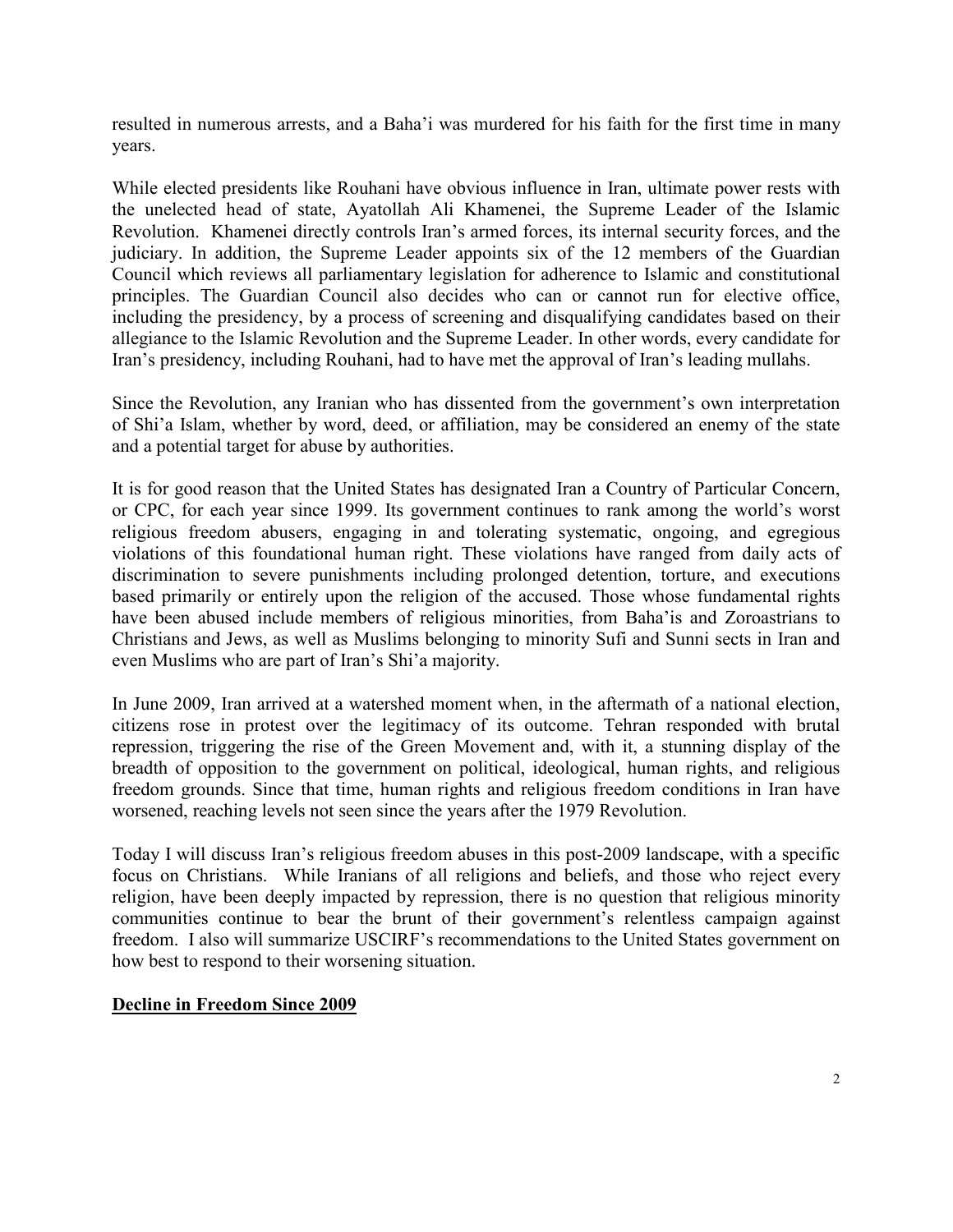resulted in numerous arrests, and a Baha'i was murdered for his faith for the first time in many years.

While elected presidents like Rouhani have obvious influence in Iran, ultimate power rests with the unelected head of state, Ayatollah Ali Khamenei, the Supreme Leader of the Islamic Revolution. Khamenei directly controls Iran's armed forces, its internal security forces, and the judiciary. In addition, the Supreme Leader appoints six of the 12 members of the Guardian Council which reviews all parliamentary legislation for adherence to Islamic and constitutional principles. The Guardian Council also decides who can or cannot run for elective office, including the presidency, by a process of screening and disqualifying candidates based on their allegiance to the Islamic Revolution and the Supreme Leader. In other words, every candidate for Iran's presidency, including Rouhani, had to have met the approval of Iran's leading mullahs.

Since the Revolution, any Iranian who has dissented from the government's own interpretation of Shi'a Islam, whether by word, deed, or affiliation, may be considered an enemy of the state and a potential target for abuse by authorities.

It is for good reason that the United States has designated Iran a Country of Particular Concern, or CPC, for each year since 1999. Its government continues to rank among the world's worst religious freedom abusers, engaging in and tolerating systematic, ongoing, and egregious violations of this foundational human right. These violations have ranged from daily acts of discrimination to severe punishments including prolonged detention, torture, and executions based primarily or entirely upon the religion of the accused. Those whose fundamental rights have been abused include members of religious minorities, from Baha'is and Zoroastrians to Christians and Jews, as well as Muslims belonging to minority Sufi and Sunni sects in Iran and even Muslims who are part of Iran's Shi'a majority.

In June 2009, Iran arrived at a watershed moment when, in the aftermath of a national election, citizens rose in protest over the legitimacy of its outcome. Tehran responded with brutal repression, triggering the rise of the Green Movement and, with it, a stunning display of the breadth of opposition to the government on political, ideological, human rights, and religious freedom grounds. Since that time, human rights and religious freedom conditions in Iran have worsened, reaching levels not seen since the years after the 1979 Revolution.

Today I will discuss Iran's religious freedom abuses in this post-2009 landscape, with a specific focus on Christians. While Iranians of all religions and beliefs, and those who reject every religion, have been deeply impacted by repression, there is no question that religious minority communities continue to bear the brunt of their government's relentless campaign against freedom. I also will summarize USCIRF's recommendations to the United States government on how best to respond to their worsening situation.

### **Decline in Freedom Since 2009**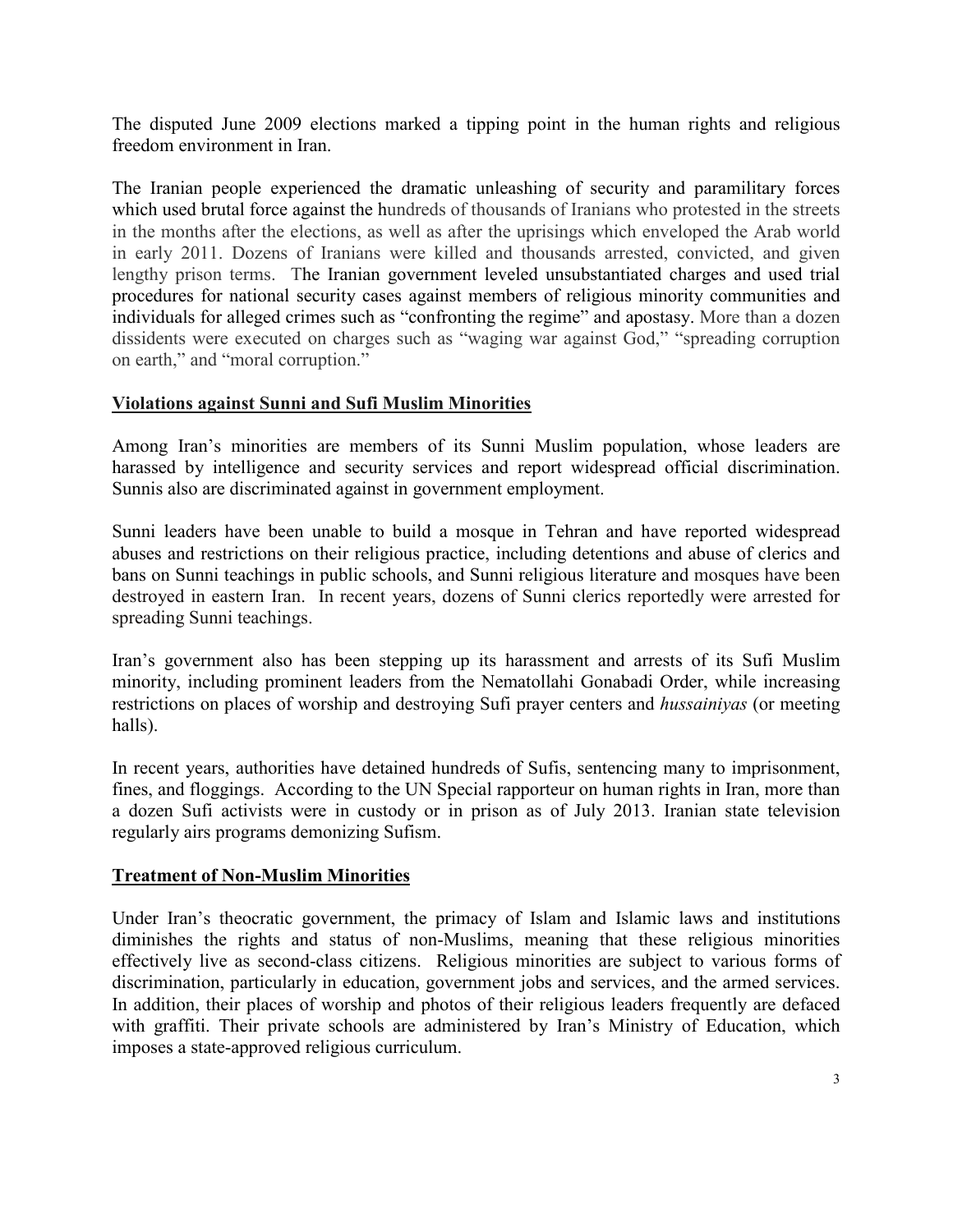The disputed June 2009 elections marked a tipping point in the human rights and religious freedom environment in Iran.

The Iranian people experienced the dramatic unleashing of security and paramilitary forces which used brutal force against the hundreds of thousands of Iranians who protested in the streets in the months after the elections, as well as after the uprisings which enveloped the Arab world in early 2011. Dozens of Iranians were killed and thousands arrested, convicted, and given lengthy prison terms. The Iranian government leveled unsubstantiated charges and used trial procedures for national security cases against members of religious minority communities and individuals for alleged crimes such as "confronting the regime" and apostasy. More than a dozen dissidents were executed on charges such as "waging war against God," "spreading corruption on earth," and "moral corruption."

# **Violations against Sunni and Sufi Muslim Minorities**

Among Iran's minorities are members of its Sunni Muslim population, whose leaders are harassed by intelligence and security services and report widespread official discrimination. Sunnis also are discriminated against in government employment.

Sunni leaders have been unable to build a mosque in Tehran and have reported widespread abuses and restrictions on their religious practice, including detentions and abuse of clerics and bans on Sunni teachings in public schools, and Sunni religious literature and mosques have been destroyed in eastern Iran. In recent years, dozens of Sunni clerics reportedly were arrested for spreading Sunni teachings.

Iran's government also has been stepping up its harassment and arrests of its Sufi Muslim minority, including prominent leaders from the Nematollahi Gonabadi Order, while increasing restrictions on places of worship and destroying Sufi prayer centers and *hussainiyas* (or meeting halls).

In recent years, authorities have detained hundreds of Sufis, sentencing many to imprisonment, fines, and floggings. According to the UN Special rapporteur on human rights in Iran, more than a dozen Sufi activists were in custody or in prison as of July 2013. Iranian state television regularly airs programs demonizing Sufism.

### **Treatment of Non-Muslim Minorities**

Under Iran's theocratic government, the primacy of Islam and Islamic laws and institutions diminishes the rights and status of non-Muslims, meaning that these religious minorities effectively live as second-class citizens. Religious minorities are subject to various forms of discrimination, particularly in education, government jobs and services, and the armed services. In addition, their places of worship and photos of their religious leaders frequently are defaced with graffiti. Their private schools are administered by Iran's Ministry of Education, which imposes a state-approved religious curriculum.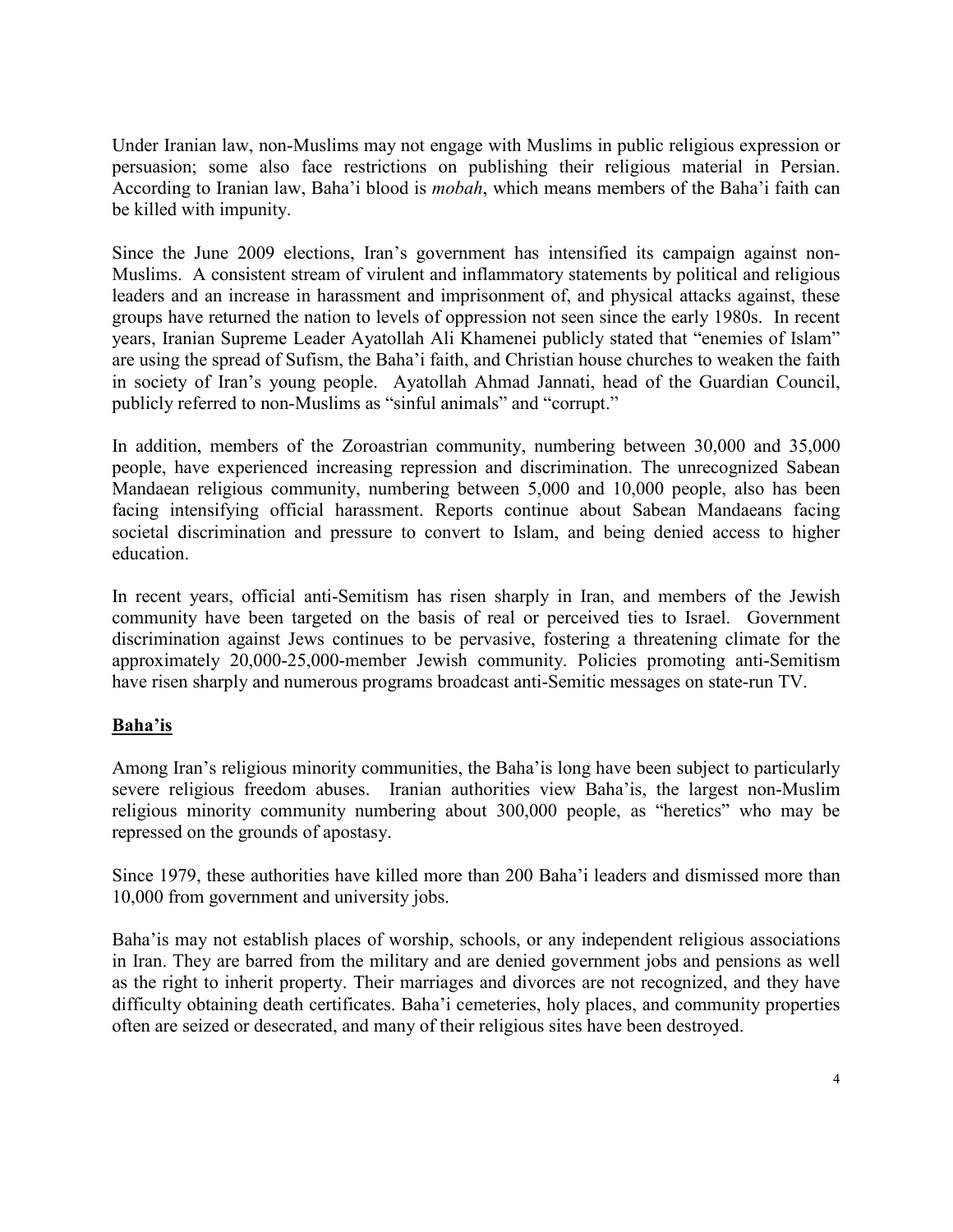Under Iranian law, non-Muslims may not engage with Muslims in public religious expression or persuasion; some also face restrictions on publishing their religious material in Persian. According to Iranian law, Baha'i blood is *mobah*, which means members of the Baha'i faith can be killed with impunity.

Since the June 2009 elections, Iran's government has intensified its campaign against non-Muslims. A consistent stream of virulent and inflammatory statements by political and religious leaders and an increase in harassment and imprisonment of, and physical attacks against, these groups have returned the nation to levels of oppression not seen since the early 1980s. In recent years, Iranian Supreme Leader Ayatollah Ali Khamenei publicly stated that "enemies of Islam" are using the spread of Sufism, the Baha'i faith, and Christian house churches to weaken the faith in society of Iran's young people. Ayatollah Ahmad Jannati, head of the Guardian Council, publicly referred to non-Muslims as "sinful animals" and "corrupt."

In addition, members of the Zoroastrian community, numbering between 30,000 and 35,000 people, have experienced increasing repression and discrimination. The unrecognized Sabean Mandaean religious community, numbering between 5,000 and 10,000 people, also has been facing intensifying official harassment. Reports continue about Sabean Mandaeans facing societal discrimination and pressure to convert to Islam, and being denied access to higher education.

In recent years, official anti-Semitism has risen sharply in Iran, and members of the Jewish community have been targeted on the basis of real or perceived ties to Israel. Government discrimination against Jews continues to be pervasive, fostering a threatening climate for the approximately 20,000-25,000-member Jewish community. Policies promoting anti-Semitism have risen sharply and numerous programs broadcast anti-Semitic messages on state-run TV.

# **Baha'is**

Among Iran's religious minority communities, the Baha'is long have been subject to particularly severe religious freedom abuses. Iranian authorities view Baha'is, the largest non-Muslim religious minority community numbering about 300,000 people, as "heretics" who may be repressed on the grounds of apostasy.

Since 1979, these authorities have killed more than 200 Baha'i leaders and dismissed more than 10,000 from government and university jobs.

Baha'is may not establish places of worship, schools, or any independent religious associations in Iran. They are barred from the military and are denied government jobs and pensions as well as the right to inherit property. Their marriages and divorces are not recognized, and they have difficulty obtaining death certificates. Baha'i cemeteries, holy places, and community properties often are seized or desecrated, and many of their religious sites have been destroyed.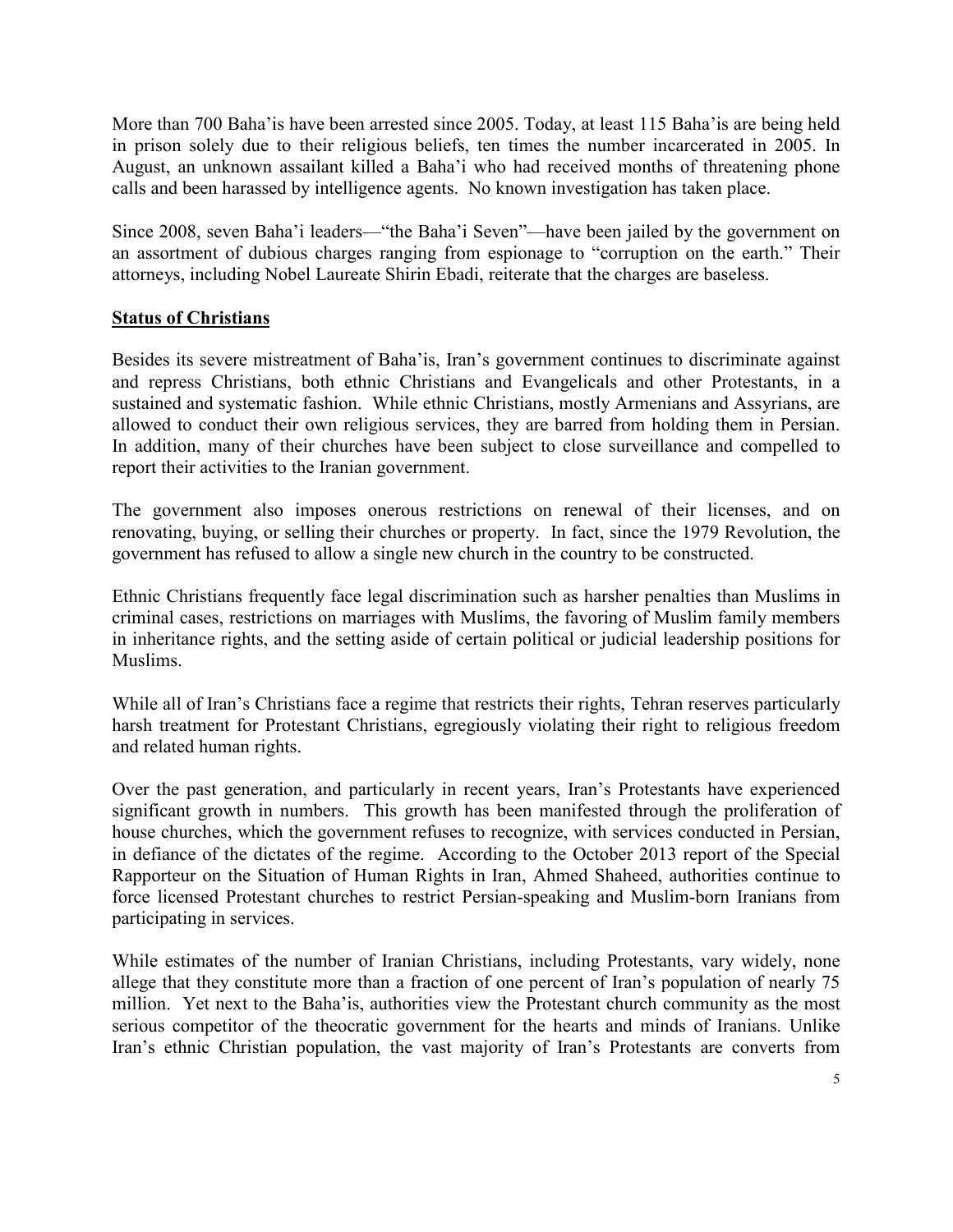More than 700 Baha'is have been arrested since 2005. Today, at least 115 Baha'is are being held in prison solely due to their religious beliefs, ten times the number incarcerated in 2005. In August, an unknown assailant killed a Baha'i who had received months of threatening phone calls and been harassed by intelligence agents. No known investigation has taken place.

Since 2008, seven Baha'i leaders—"the Baha'i Seven"—have been jailed by the government on an assortment of dubious charges ranging from espionage to "corruption on the earth." Their attorneys, including Nobel Laureate Shirin Ebadi, reiterate that the charges are baseless.

## **Status of Christians**

Besides its severe mistreatment of Baha'is, Iran's government continues to discriminate against and repress Christians, both ethnic Christians and Evangelicals and other Protestants, in a sustained and systematic fashion. While ethnic Christians, mostly Armenians and Assyrians, are allowed to conduct their own religious services, they are barred from holding them in Persian. In addition, many of their churches have been subject to close surveillance and compelled to report their activities to the Iranian government.

The government also imposes onerous restrictions on renewal of their licenses, and on renovating, buying, or selling their churches or property. In fact, since the 1979 Revolution, the government has refused to allow a single new church in the country to be constructed.

Ethnic Christians frequently face legal discrimination such as harsher penalties than Muslims in criminal cases, restrictions on marriages with Muslims, the favoring of Muslim family members in inheritance rights, and the setting aside of certain political or judicial leadership positions for Muslims.

While all of Iran's Christians face a regime that restricts their rights, Tehran reserves particularly harsh treatment for Protestant Christians, egregiously violating their right to religious freedom and related human rights.

Over the past generation, and particularly in recent years, Iran's Protestants have experienced significant growth in numbers. This growth has been manifested through the proliferation of house churches, which the government refuses to recognize, with services conducted in Persian, in defiance of the dictates of the regime. According to the October 2013 report of the Special Rapporteur on the Situation of Human Rights in Iran, Ahmed Shaheed, authorities continue to force licensed Protestant churches to restrict Persian-speaking and Muslim-born Iranians from participating in services.

While estimates of the number of Iranian Christians, including Protestants, vary widely, none allege that they constitute more than a fraction of one percent of Iran's population of nearly 75 million. Yet next to the Baha'is, authorities view the Protestant church community as the most serious competitor of the theocratic government for the hearts and minds of Iranians. Unlike Iran's ethnic Christian population, the vast majority of Iran's Protestants are converts from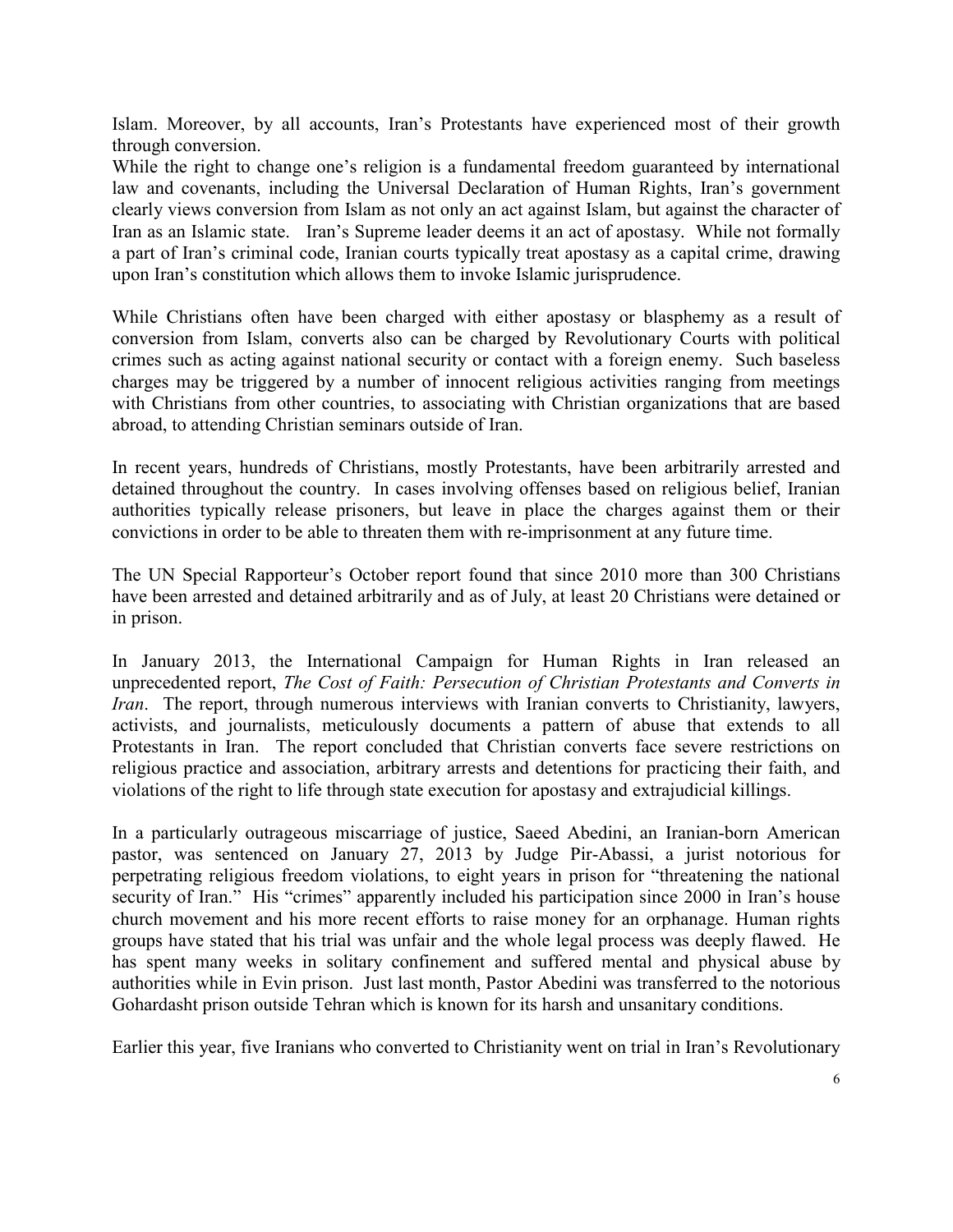Islam. Moreover, by all accounts, Iran's Protestants have experienced most of their growth through conversion.

While the right to change one's religion is a fundamental freedom guaranteed by international law and covenants, including the Universal Declaration of Human Rights, Iran's government clearly views conversion from Islam as not only an act against Islam, but against the character of Iran as an Islamic state. Iran's Supreme leader deems it an act of apostasy. While not formally a part of Iran's criminal code, Iranian courts typically treat apostasy as a capital crime, drawing upon Iran's constitution which allows them to invoke Islamic jurisprudence.

While Christians often have been charged with either apostasy or blasphemy as a result of conversion from Islam, converts also can be charged by Revolutionary Courts with political crimes such as acting against national security or contact with a foreign enemy. Such baseless charges may be triggered by a number of innocent religious activities ranging from meetings with Christians from other countries, to associating with Christian organizations that are based abroad, to attending Christian seminars outside of Iran.

In recent years, hundreds of Christians, mostly Protestants, have been arbitrarily arrested and detained throughout the country. In cases involving offenses based on religious belief, Iranian authorities typically release prisoners, but leave in place the charges against them or their convictions in order to be able to threaten them with re-imprisonment at any future time.

The UN Special Rapporteur's October report found that since 2010 more than 300 Christians have been arrested and detained arbitrarily and as of July, at least 20 Christians were detained or in prison.

In January 2013, the International Campaign for Human Rights in Iran released an unprecedented report, *The Cost of Faith: Persecution of Christian Protestants and Converts in Iran*. The report, through numerous interviews with Iranian converts to Christianity, lawyers, activists, and journalists, meticulously documents a pattern of abuse that extends to all Protestants in Iran. The report concluded that Christian converts face severe restrictions on religious practice and association, arbitrary arrests and detentions for practicing their faith, and violations of the right to life through state execution for apostasy and extrajudicial killings.

In a particularly outrageous miscarriage of justice, Saeed Abedini, an Iranian-born American pastor, was sentenced on January 27, 2013 by Judge Pir-Abassi, a jurist notorious for perpetrating religious freedom violations, to eight years in prison for "threatening the national security of Iran." His "crimes" apparently included his participation since 2000 in Iran's house church movement and his more recent efforts to raise money for an orphanage. Human rights groups have stated that his trial was unfair and the whole legal process was deeply flawed. He has spent many weeks in solitary confinement and suffered mental and physical abuse by authorities while in Evin prison. Just last month, Pastor Abedini was transferred to the notorious Gohardasht prison outside Tehran which is known for its harsh and unsanitary conditions.

Earlier this year, five Iranians who converted to Christianity went on trial in Iran's Revolutionary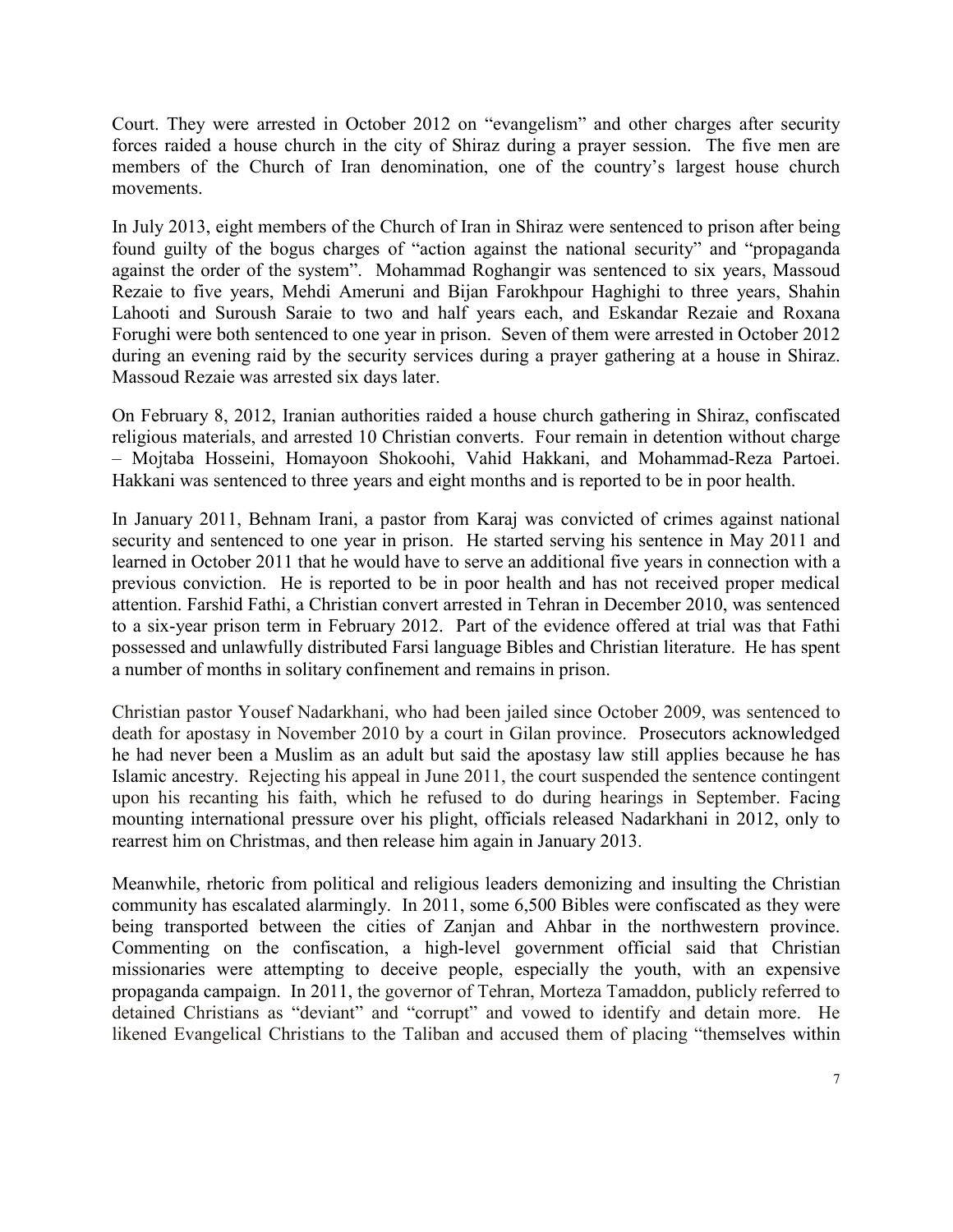Court. They were arrested in October 2012 on "evangelism" and other charges after security forces raided a house church in the city of Shiraz during a prayer session. The five men are members of the Church of Iran denomination, one of the country's largest house church movements.

In July 2013, eight members of the Church of Iran in Shiraz were sentenced to prison after being found guilty of the bogus charges of "action against the national security" and "propaganda against the order of the system". Mohammad Roghangir was sentenced to six years, Massoud Rezaie to five years, Mehdi Ameruni and Bijan Farokhpour Haghighi to three years, Shahin Lahooti and Suroush Saraie to two and half years each, and Eskandar Rezaie and Roxana Forughi were both sentenced to one year in prison. Seven of them were arrested in October 2012 during an evening raid by the security services during a prayer gathering at a house in Shiraz. Massoud Rezaie was arrested six days later.

On February 8, 2012, Iranian authorities raided a house church gathering in Shiraz, confiscated religious materials, and arrested 10 Christian converts. Four remain in detention without charge – Mojtaba Hosseini, Homayoon Shokoohi, Vahid Hakkani, and Mohammad-Reza Partoei. Hakkani was sentenced to three years and eight months and is reported to be in poor health.

In January 2011, Behnam Irani, a pastor from Karaj was convicted of crimes against national security and sentenced to one year in prison. He started serving his sentence in May 2011 and learned in October 2011 that he would have to serve an additional five years in connection with a previous conviction. He is reported to be in poor health and has not received proper medical attention. Farshid Fathi, a Christian convert arrested in Tehran in December 2010, was sentenced to a six-year prison term in February 2012. Part of the evidence offered at trial was that Fathi possessed and unlawfully distributed Farsi language Bibles and Christian literature. He has spent a number of months in solitary confinement and remains in prison.

Christian pastor Yousef Nadarkhani, who had been jailed since October 2009, was sentenced to death for apostasy in November 2010 by a court in Gilan province. Prosecutors acknowledged he had never been a Muslim as an adult but said the apostasy law still applies because he has Islamic ancestry. Rejecting his appeal in June 2011, the court suspended the sentence contingent upon his recanting his faith, which he refused to do during hearings in September. Facing mounting international pressure over his plight, officials released Nadarkhani in 2012, only to rearrest him on Christmas, and then release him again in January 2013.

Meanwhile, rhetoric from political and religious leaders demonizing and insulting the Christian community has escalated alarmingly. In 2011, some 6,500 Bibles were confiscated as they were being transported between the cities of Zanjan and Ahbar in the northwestern province. Commenting on the confiscation, a high-level government official said that Christian missionaries were attempting to deceive people, especially the youth, with an expensive propaganda campaign. In 2011, the governor of Tehran, Morteza Tamaddon, publicly referred to detained Christians as "deviant" and "corrupt" and vowed to identify and detain more. He likened Evangelical Christians to the Taliban and accused them of placing "themselves within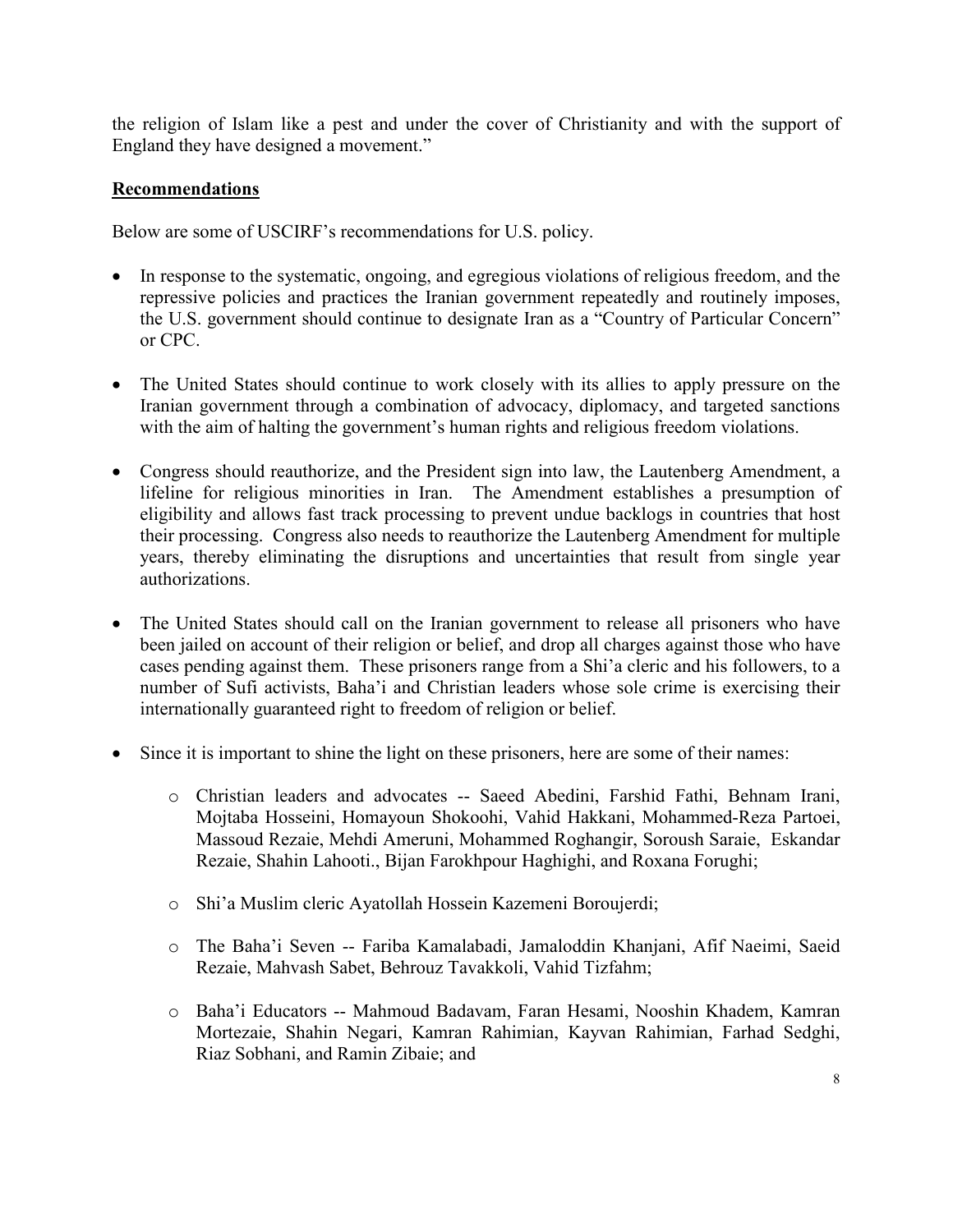the religion of Islam like a pest and under the cover of Christianity and with the support of England they have designed a movement."

### **Recommendations**

Below are some of USCIRF's recommendations for U.S. policy.

- In response to the systematic, ongoing, and egregious violations of religious freedom, and the repressive policies and practices the Iranian government repeatedly and routinely imposes, the U.S. government should continue to designate Iran as a "Country of Particular Concern" or CPC.
- The United States should continue to work closely with its allies to apply pressure on the Iranian government through a combination of advocacy, diplomacy, and targeted sanctions with the aim of halting the government's human rights and religious freedom violations.
- Congress should reauthorize, and the President sign into law, the Lautenberg Amendment, a lifeline for religious minorities in Iran. The Amendment establishes a presumption of eligibility and allows fast track processing to prevent undue backlogs in countries that host their processing. Congress also needs to reauthorize the Lautenberg Amendment for multiple years, thereby eliminating the disruptions and uncertainties that result from single year authorizations.
- The United States should call on the Iranian government to release all prisoners who have been jailed on account of their religion or belief, and drop all charges against those who have cases pending against them. These prisoners range from a Shi'a cleric and his followers, to a number of Sufi activists, Baha'i and Christian leaders whose sole crime is exercising their internationally guaranteed right to freedom of religion or belief.
- Since it is important to shine the light on these prisoners, here are some of their names:
	- o Christian leaders and advocates -- Saeed Abedini, Farshid Fathi, Behnam Irani, Mojtaba Hosseini, Homayoun Shokoohi, Vahid Hakkani, Mohammed-Reza Partoei, Massoud Rezaie, Mehdi Ameruni, Mohammed Roghangir, Soroush Saraie, Eskandar Rezaie, Shahin Lahooti., Bijan Farokhpour Haghighi, and Roxana Forughi;
	- o Shi'a Muslim cleric Ayatollah Hossein Kazemeni Boroujerdi;
	- o The Baha'i Seven -- Fariba Kamalabadi, Jamaloddin Khanjani, Afif Naeimi, Saeid Rezaie, Mahvash Sabet, Behrouz Tavakkoli, Vahid Tizfahm;
	- o Baha'i Educators -- Mahmoud Badavam, Faran Hesami, Nooshin Khadem, Kamran Mortezaie, Shahin Negari, Kamran Rahimian, Kayvan Rahimian, Farhad Sedghi, Riaz Sobhani, and Ramin Zibaie; and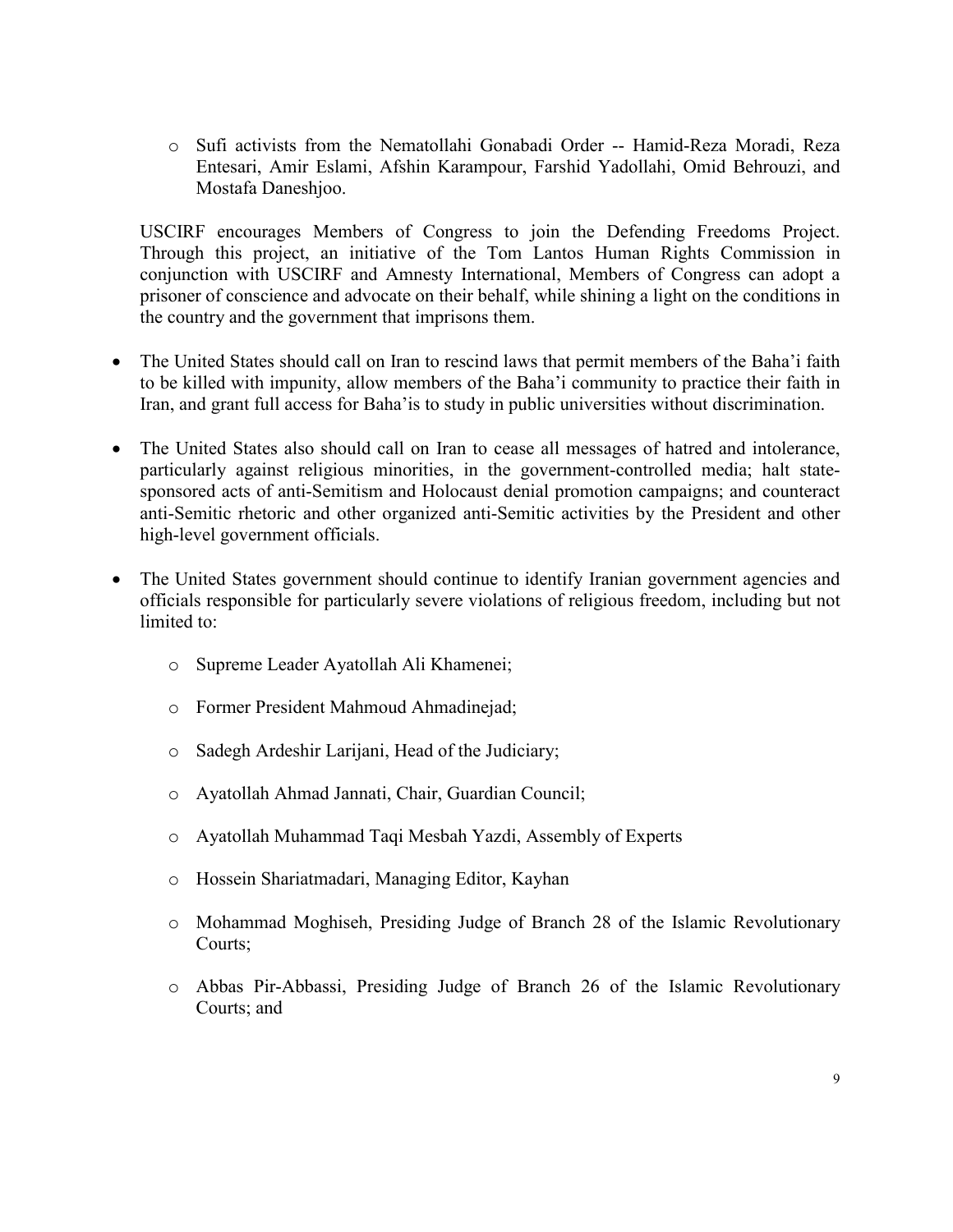o Sufi activists from the Nematollahi Gonabadi Order -- Hamid-Reza Moradi, Reza Entesari, Amir Eslami, Afshin Karampour, Farshid Yadollahi, Omid Behrouzi, and Mostafa Daneshjoo.

USCIRF encourages Members of Congress to join the Defending Freedoms Project. Through this project, an initiative of the Tom Lantos Human Rights Commission in conjunction with USCIRF and Amnesty International, Members of Congress can adopt a prisoner of conscience and advocate on their behalf, while shining a light on the conditions in the country and the government that imprisons them.

- The United States should call on Iran to rescind laws that permit members of the Baha'i faith to be killed with impunity, allow members of the Baha'i community to practice their faith in Iran, and grant full access for Baha'is to study in public universities without discrimination.
- The United States also should call on Iran to cease all messages of hatred and intolerance, particularly against religious minorities, in the government-controlled media; halt statesponsored acts of anti-Semitism and Holocaust denial promotion campaigns; and counteract anti-Semitic rhetoric and other organized anti-Semitic activities by the President and other high-level government officials.
- The United States government should continue to identify Iranian government agencies and officials responsible for particularly severe violations of religious freedom, including but not limited to:
	- o Supreme Leader Ayatollah Ali Khamenei;
	- o Former President Mahmoud Ahmadinejad;
	- o Sadegh Ardeshir Larijani, Head of the Judiciary;
	- o Ayatollah Ahmad Jannati, Chair, Guardian Council;
	- o Ayatollah Muhammad Taqi Mesbah Yazdi, Assembly of Experts
	- o Hossein Shariatmadari, Managing Editor, Kayhan
	- o Mohammad Moghiseh, Presiding Judge of Branch 28 of the Islamic Revolutionary Courts;
	- o Abbas Pir-Abbassi, Presiding Judge of Branch 26 of the Islamic Revolutionary Courts; and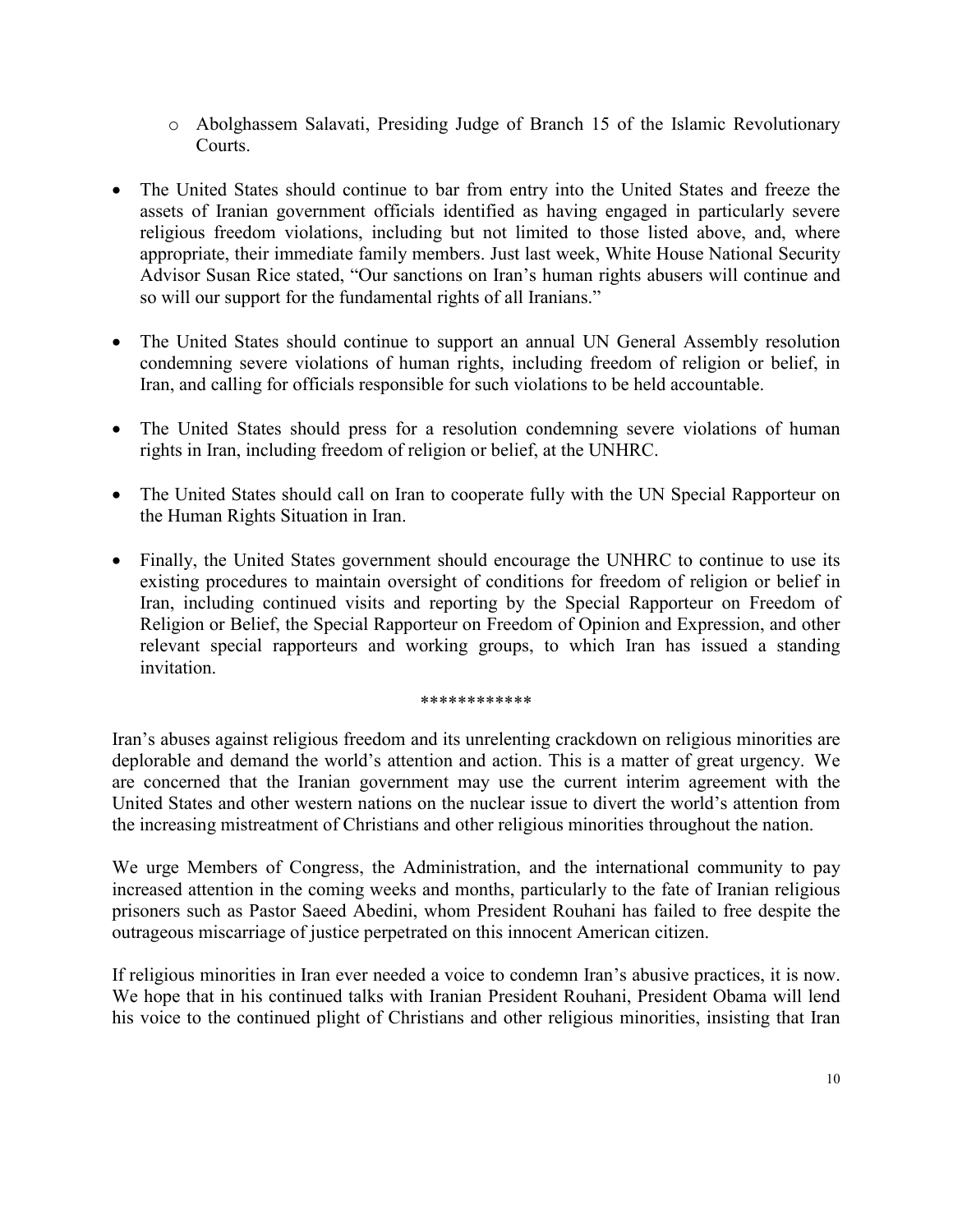- o Abolghassem Salavati, Presiding Judge of Branch 15 of the Islamic Revolutionary Courts.
- The United States should continue to bar from entry into the United States and freeze the assets of Iranian government officials identified as having engaged in particularly severe religious freedom violations, including but not limited to those listed above, and, where appropriate, their immediate family members. Just last week, White House National Security Advisor Susan Rice stated, "Our sanctions on Iran's human rights abusers will continue and so will our support for the fundamental rights of all Iranians."
- The United States should continue to support an annual UN General Assembly resolution condemning severe violations of human rights, including freedom of religion or belief, in Iran, and calling for officials responsible for such violations to be held accountable.
- The United States should press for a resolution condemning severe violations of human rights in Iran, including freedom of religion or belief, at the UNHRC.
- The United States should call on Iran to cooperate fully with the UN Special Rapporteur on the Human Rights Situation in Iran.
- Finally, the United States government should encourage the UNHRC to continue to use its existing procedures to maintain oversight of conditions for freedom of religion or belief in Iran, including continued visits and reporting by the Special Rapporteur on Freedom of Religion or Belief, the Special Rapporteur on Freedom of Opinion and Expression, and other relevant special rapporteurs and working groups, to which Iran has issued a standing invitation.

#### \*\*\*\*\*\*\*\*\*\*\*\*

Iran's abuses against religious freedom and its unrelenting crackdown on religious minorities are deplorable and demand the world's attention and action. This is a matter of great urgency. We are concerned that the Iranian government may use the current interim agreement with the United States and other western nations on the nuclear issue to divert the world's attention from the increasing mistreatment of Christians and other religious minorities throughout the nation.

We urge Members of Congress, the Administration, and the international community to pay increased attention in the coming weeks and months, particularly to the fate of Iranian religious prisoners such as Pastor Saeed Abedini, whom President Rouhani has failed to free despite the outrageous miscarriage of justice perpetrated on this innocent American citizen.

If religious minorities in Iran ever needed a voice to condemn Iran's abusive practices, it is now. We hope that in his continued talks with Iranian President Rouhani, President Obama will lend his voice to the continued plight of Christians and other religious minorities, insisting that Iran